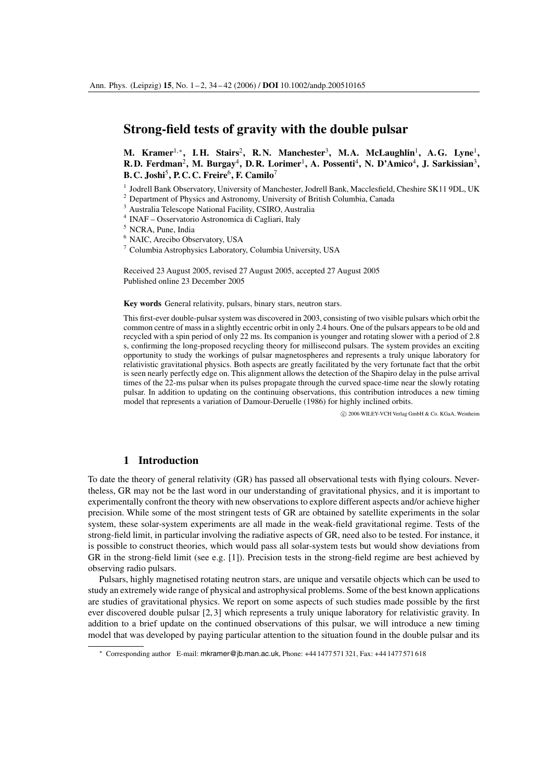# **Strong-field tests of gravity with the double pulsar**

**M. Kramer**1,∗**, I. H. Stairs**2**, R. N. Manchester**3**, M.A. McLaughlin**1**, A. G. Lyne**1**, R. D. Ferdman**2**, M. Burgay**4**, D. R. Lorimer**1**, A. Possenti**4**, N. D'Amico**4**, J. Sarkissian**3**, B. C. Joshi**5**, P. C. C. Freire**6**, F. Camilo**<sup>7</sup>

<sup>1</sup> Jodrell Bank Observatory, University of Manchester, Jodrell Bank, Macclesfield, Cheshire SK11 9DL, UK

- <sup>2</sup> Department of Physics and Astronomy, University of British Columbia, Canada
- <sup>3</sup> Australia Telescope National Facility, CSIRO, Australia
- <sup>4</sup> INAF Osservatorio Astronomica di Cagliari, Italy
- <sup>5</sup> NCRA, Pune, India
- <sup>6</sup> NAIC, Arecibo Observatory, USA
- <sup>7</sup> Columbia Astrophysics Laboratory, Columbia University, USA

Received 23 August 2005, revised 27 August 2005, accepted 27 August 2005 Published online 23 December 2005

**Key words** General relativity, pulsars, binary stars, neutron stars.

This first-ever double-pulsar system was discovered in 2003, consisting of two visible pulsars which orbit the common centre of mass in a slightly eccentric orbit in only 2.4 hours. One of the pulsars appears to be old and recycled with a spin period of only 22 ms. Its companion is younger and rotating slower with a period of 2.8 s, confirming the long-proposed recycling theory for millisecond pulsars. The system provides an exciting opportunity to study the workings of pulsar magnetospheres and represents a truly unique laboratory for relativistic gravitational physics. Both aspects are greatly facilitated by the very fortunate fact that the orbit is seen nearly perfectly edge on. This alignment allows the detection of the Shapiro delay in the pulse arrival times of the 22-ms pulsar when its pulses propagate through the curved space-time near the slowly rotating pulsar. In addition to updating on the continuing observations, this contribution introduces a new timing model that represents a variation of Damour-Deruelle (1986) for highly inclined orbits.

c 2006 WILEY-VCH Verlag GmbH & Co. KGaA, Weinheim

### **1 Introduction**

To date the theory of general relativity (GR) has passed all observational tests with flying colours. Nevertheless, GR may not be the last word in our understanding of gravitational physics, and it is important to experimentally confront the theory with new observations to explore different aspects and/or achieve higher precision. While some of the most stringent tests of GR are obtained by satellite experiments in the solar system, these solar-system experiments are all made in the weak-field gravitational regime. Tests of the strong-field limit, in particular involving the radiative aspects of GR, need also to be tested. For instance, it is possible to construct theories, which would pass all solar-system tests but would show deviations from GR in the strong-field limit (see e.g. [1]). Precision tests in the strong-field regime are best achieved by observing radio pulsars.

Pulsars, highly magnetised rotating neutron stars, are unique and versatile objects which can be used to study an extremely wide range of physical and astrophysical problems. Some of the best known applications are studies of gravitational physics. We report on some aspects of such studies made possible by the first ever discovered double pulsar [2, 3] which represents a truly unique laboratory for relativistic gravity. In addition to a brief update on the continued observations of this pulsar, we will introduce a new timing model that was developed by paying particular attention to the situation found in the double pulsar and its

<sup>∗</sup> Corresponding author E-mail: mkramer@jb.man.ac.uk, Phone: +44 1477 571 321, Fax: +44 1477 571 618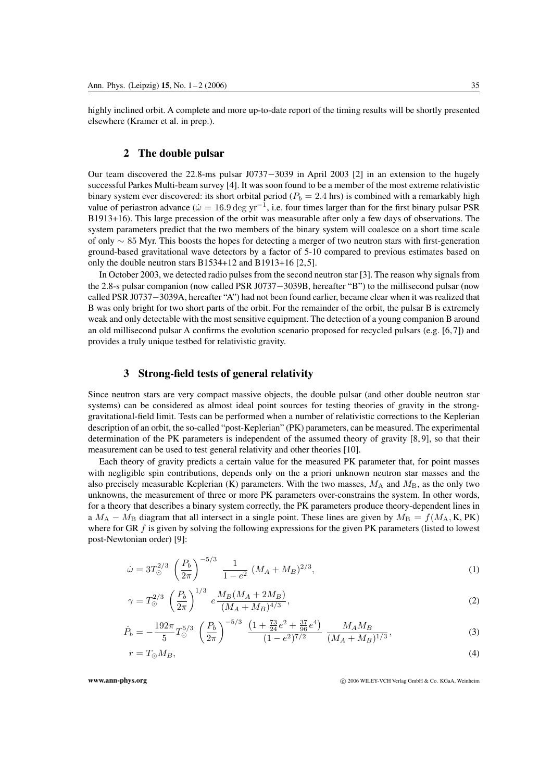highly inclined orbit. A complete and more up-to-date report of the timing results will be shortly presented elsewhere (Kramer et al. in prep.).

### **2 The double pulsar**

Our team discovered the 22.8-ms pulsar J0737−3039 in April 2003 [2] in an extension to the hugely successful Parkes Multi-beam survey [4]. It was soon found to be a member of the most extreme relativistic binary system ever discovered: its short orbital period ( $P_b = 2.4$  hrs) is combined with a remarkably high value of periastron advance ( $\dot{\omega} = 16.9 \text{ deg yr}^{-1}$ , i.e. four times larger than for the first binary pulsar PSR B1913+16). This large precession of the orbit was measurable after only a few days of observations. The system parameters predict that the two members of the binary system will coalesce on a short time scale of only ∼ 85 Myr. This boosts the hopes for detecting a merger of two neutron stars with first-generation ground-based gravitational wave detectors by a factor of 5-10 compared to previous estimates based on only the double neutron stars B1534+12 and B1913+16 [2,5].

In October 2003, we detected radio pulses from the second neutron star [3]. The reason why signals from the 2.8-s pulsar companion (now called PSR J0737−3039B, hereafter "B") to the millisecond pulsar (now called PSR J0737−3039A, hereafter "A") had not been found earlier, became clear when it was realized that B was only bright for two short parts of the orbit. For the remainder of the orbit, the pulsar B is extremely weak and only detectable with the most sensitive equipment. The detection of a young companion B around an old millisecond pulsar A confirms the evolution scenario proposed for recycled pulsars (e.g. [6,7]) and provides a truly unique testbed for relativistic gravity.

## **3 Strong-field tests of general relativity**

Since neutron stars are very compact massive objects, the double pulsar (and other double neutron star systems) can be considered as almost ideal point sources for testing theories of gravity in the stronggravitational-field limit. Tests can be performed when a number of relativistic corrections to the Keplerian description of an orbit, the so-called "post-Keplerian" (PK) parameters, can be measured. The experimental determination of the PK parameters is independent of the assumed theory of gravity [8, 9], so that their measurement can be used to test general relativity and other theories [10].

Each theory of gravity predicts a certain value for the measured PK parameter that, for point masses with negligible spin contributions, depends only on the a priori unknown neutron star masses and the also precisely measurable Keplerian (K) parameters. With the two masses,  $M_A$  and  $M_B$ , as the only two unknowns, the measurement of three or more PK parameters over-constrains the system. In other words, for a theory that describes a binary system correctly, the PK parameters produce theory-dependent lines in a  $M_A - M_B$  diagram that all intersect in a single point. These lines are given by  $M_B = f(M_A, K, PK)$ where for GR  $f$  is given by solving the following expressions for the given PK parameters (listed to lowest post-Newtonian order) [9]:

$$
\dot{\omega} = 3T_{\odot}^{2/3} \left(\frac{P_b}{2\pi}\right)^{-5/3} \frac{1}{1 - e^2} \left(M_A + M_B\right)^{2/3},\tag{1}
$$

$$
\gamma = T_{\odot}^{2/3} \left(\frac{P_b}{2\pi}\right)^{1/3} e^{\frac{M_B(M_A + 2M_B)}{(M_A + M_B)^{4/3}}},\tag{2}
$$

$$
\dot{P}_b = -\frac{192\pi}{5} T_{\odot}^{5/3} \left(\frac{P_b}{2\pi}\right)^{-5/3} \frac{\left(1 + \frac{73}{24}e^2 + \frac{37}{96}e^4\right)}{(1 - e^2)^{7/2}} \frac{M_A M_B}{(M_A + M_B)^{1/3}},\tag{3}
$$

$$
r = T_{\odot} M_B, \tag{4}
$$

**www.ann-phys.org** extending the computation of C 2006 WILEY-VCH Verlag GmbH & Co. KGaA, Weinheim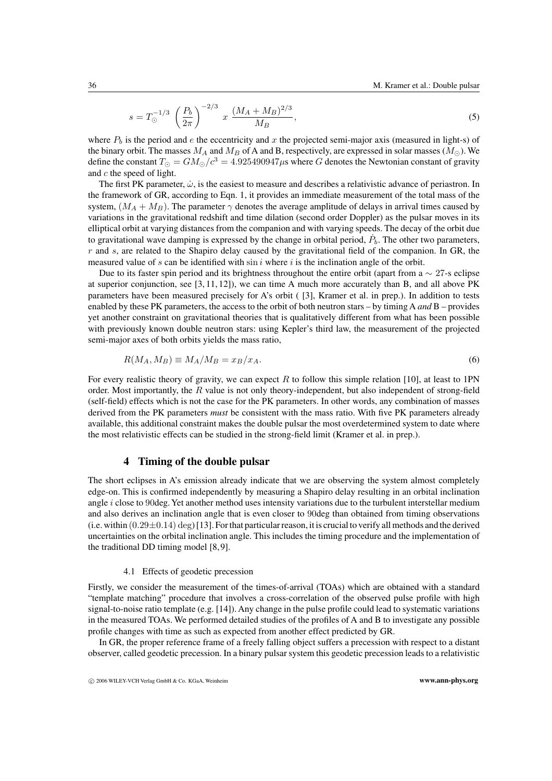$$
s = T_{\odot}^{-1/3} \left(\frac{P_b}{2\pi}\right)^{-2/3} x \frac{(M_A + M_B)^{2/3}}{M_B},\tag{5}
$$

where  $P_b$  is the period and e the eccentricity and x the projected semi-major axis (measured in light-s) of the binary orbit. The masses  $M_A$  and  $M_B$  of A and B, respectively, are expressed in solar masses  $(M_{\odot})$ . We define the constant  $T_{\odot} = GM_{\odot}/c^3 = 4.925490947 \mu \text{s}$  where  $G$  denotes the Newtonian constant of gravity and c the speed of light.

The first PK parameter,  $\dot{\omega}$ , is the easiest to measure and describes a relativistic advance of periastron. In the framework of GR, according to Eqn. 1, it provides an immediate measurement of the total mass of the system,  $(M_A + M_B)$ . The parameter  $\gamma$  denotes the average amplitude of delays in arrival times caused by variations in the gravitational redshift and time dilation (second order Doppler) as the pulsar moves in its elliptical orbit at varying distances from the companion and with varying speeds. The decay of the orbit due to gravitational wave damping is expressed by the change in orbital period,  $\dot{P}_b$ . The other two parameters,  $r$  and  $s$ , are related to the Shapiro delay caused by the gravitational field of the companion. In GR, the measured value of s can be identified with  $\sin i$  where i is the inclination angle of the orbit.

Due to its faster spin period and its brightness throughout the entire orbit (apart from a  $\sim$  27-s eclipse at superior conjunction, see [3, 11, 12]), we can time A much more accurately than B, and all above PK parameters have been measured precisely for A's orbit ( [3], Kramer et al. in prep.). In addition to tests enabled by these PK parameters, the access to the orbit of both neutron stars – by timing A *and* B – provides yet another constraint on gravitational theories that is qualitatively different from what has been possible with previously known double neutron stars: using Kepler's third law, the measurement of the projected semi-major axes of both orbits yields the mass ratio,

$$
R(M_A, M_B) \equiv M_A / M_B = x_B / x_A. \tag{6}
$$

For every realistic theory of gravity, we can expect  $R$  to follow this simple relation [10], at least to 1PN order. Most importantly, the  $R$  value is not only theory-independent, but also independent of strong-field (self-field) effects which is not the case for the PK parameters. In other words, any combination of masses derived from the PK parameters *must* be consistent with the mass ratio. With five PK parameters already available, this additional constraint makes the double pulsar the most overdetermined system to date where the most relativistic effects can be studied in the strong-field limit (Kramer et al. in prep.).

## **4 Timing of the double pulsar**

The short eclipses in A's emission already indicate that we are observing the system almost completely edge-on. This is confirmed independently by measuring a Shapiro delay resulting in an orbital inclination angle  $i$  close to 90deg. Yet another method uses intensity variations due to the turbulent interstellar medium and also derives an inclination angle that is even closer to 90deg than obtained from timing observations (i.e. within  $(0.29\pm0.14)$  deg) [13]. For that particular reason, it is crucial to verify all methods and the derived uncertainties on the orbital inclination angle. This includes the timing procedure and the implementation of the traditional DD timing model [8,9].

#### 4.1 Effects of geodetic precession

Firstly, we consider the measurement of the times-of-arrival (TOAs) which are obtained with a standard "template matching" procedure that involves a cross-correlation of the observed pulse profile with high signal-to-noise ratio template (e.g. [14]). Any change in the pulse profile could lead to systematic variations in the measured TOAs. We performed detailed studies of the profiles of A and B to investigate any possible profile changes with time as such as expected from another effect predicted by GR.

In GR, the proper reference frame of a freely falling object suffers a precession with respect to a distant observer, called geodetic precession. In a binary pulsar system this geodetic precession leads to a relativistic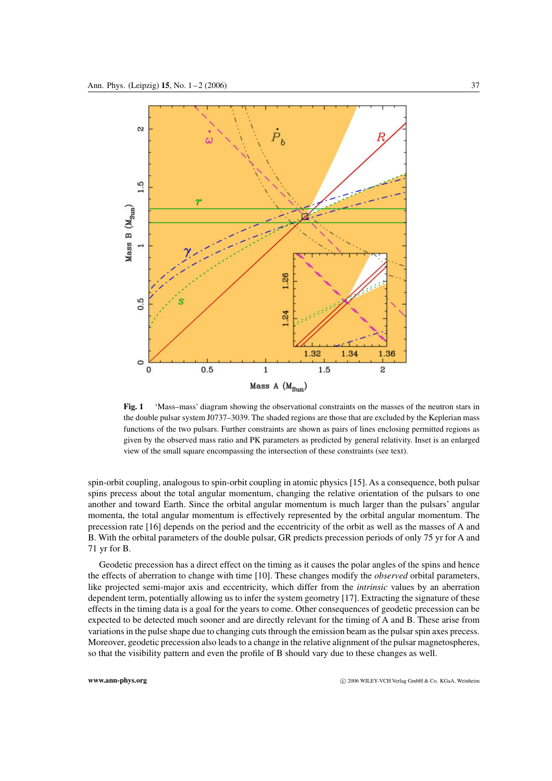

**Fig. 1** 'Mass–mass' diagram showing the observational constraints on the masses of the neutron stars in the double pulsar system J0737–3039. The shaded regions are those that are excluded by the Keplerian mass functions of the two pulsars. Further constraints are shown as pairs of lines enclosing permitted regions as given by the observed mass ratio and PK parameters as predicted by general relativity. Inset is an enlarged view of the small square encompassing the intersection of these constraints (see text).

spin-orbit coupling, analogous to spin-orbit coupling in atomic physics [15]. As a consequence, both pulsar spins precess about the total angular momentum, changing the relative orientation of the pulsars to one another and toward Earth. Since the orbital angular momentum is much larger than the pulsars' angular momenta, the total angular momentum is effectively represented by the orbital angular momentum. The precession rate [16] depends on the period and the eccentricity of the orbit as well as the masses of A and B. With the orbital parameters of the double pulsar, GR predicts precession periods of only 75 yr for A and 71 yr for B.

Geodetic precession has a direct effect on the timing as it causes the polar angles of the spins and hence the effects of aberration to change with time [10]. These changes modify the *observed* orbital parameters, like projected semi-major axis and eccentricity, which differ from the *intrinsic* values by an aberration dependent term, potentially allowing us to infer the system geometry [17]. Extracting the signature of these effects in the timing data is a goal for the years to come. Other consequences of geodetic precession can be expected to be detected much sooner and are directly relevant for the timing of A and B. These arise from variations in the pulse shape due to changing cuts through the emission beam as the pulsar spin axes precess. Moreover, geodetic precession also leads to a change in the relative alignment of the pulsar magnetospheres, so that the visibility pattern and even the profile of B should vary due to these changes as well.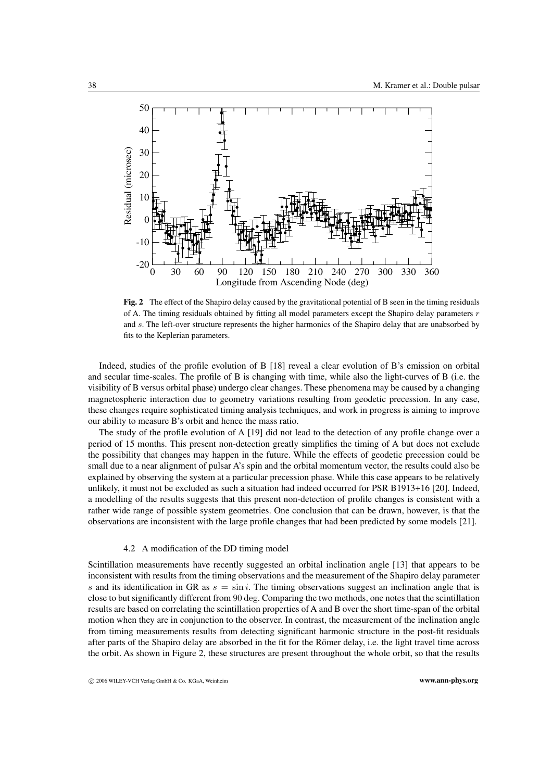

**Fig. 2** The effect of the Shapiro delay caused by the gravitational potential of B seen in the timing residuals of A. The timing residuals obtained by fitting all model parameters except the Shapiro delay parameters  $r$ and s. The left-over structure represents the higher harmonics of the Shapiro delay that are unabsorbed by fits to the Keplerian parameters.

Indeed, studies of the profile evolution of B [18] reveal a clear evolution of B's emission on orbital and secular time-scales. The profile of B is changing with time, while also the light-curves of B (i.e. the visibility of B versus orbital phase) undergo clear changes. These phenomena may be caused by a changing magnetospheric interaction due to geometry variations resulting from geodetic precession. In any case, these changes require sophisticated timing analysis techniques, and work in progress is aiming to improve our ability to measure B's orbit and hence the mass ratio.

The study of the profile evolution of A [19] did not lead to the detection of any profile change over a period of 15 months. This present non-detection greatly simplifies the timing of A but does not exclude the possibility that changes may happen in the future. While the effects of geodetic precession could be small due to a near alignment of pulsar A's spin and the orbital momentum vector, the results could also be explained by observing the system at a particular precession phase. While this case appears to be relatively unlikely, it must not be excluded as such a situation had indeed occurred for PSR B1913+16 [20]. Indeed, a modelling of the results suggests that this present non-detection of profile changes is consistent with a rather wide range of possible system geometries. One conclusion that can be drawn, however, is that the observations are inconsistent with the large profile changes that had been predicted by some models [21].

#### 4.2 A modification of the DD timing model

Scintillation measurements have recently suggested an orbital inclination angle [13] that appears to be inconsistent with results from the timing observations and the measurement of the Shapiro delay parameter s and its identification in GR as  $s = \sin i$ . The timing observations suggest an inclination angle that is close to but significantly different from 90 deg. Comparing the two methods, one notes that the scintillation results are based on correlating the scintillation properties of A and B over the short time-span of the orbital motion when they are in conjunction to the observer. In contrast, the measurement of the inclination angle from timing measurements results from detecting significant harmonic structure in the post-fit residuals after parts of the Shapiro delay are absorbed in the fit for the Römer delay, i.e. the light travel time across the orbit. As shown in Figure 2, these structures are present throughout the whole orbit, so that the results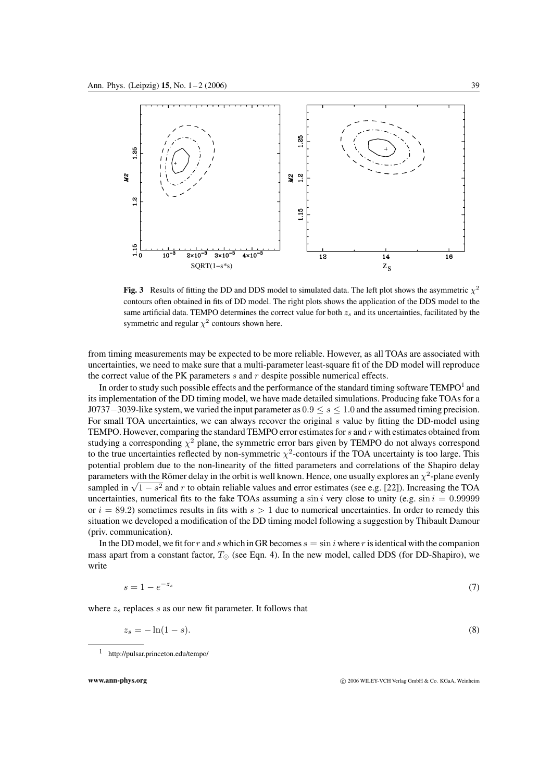

**Fig. 3** Results of fitting the DD and DDS model to simulated data. The left plot shows the asymmetric  $\chi^2$ contours often obtained in fits of DD model. The right plots shows the application of the DDS model to the same artificial data. TEMPO determines the correct value for both  $z<sub>s</sub>$  and its uncertainties, facilitated by the symmetric and regular  $\chi^2$  contours shown here.

from timing measurements may be expected to be more reliable. However, as all TOAs are associated with uncertainties, we need to make sure that a multi-parameter least-square fit of the DD model will reproduce the correct value of the PK parameters  $s$  and  $r$  despite possible numerical effects.

In order to study such possible effects and the performance of the standard timing software TEMPO<sup>1</sup> and its implementation of the DD timing model, we have made detailed simulations. Producing fake TOAs for a J0737−3039-like system, we varied the input parameter as  $0.9 \le s \le 1.0$  and the assumed timing precision. For small TOA uncertainties, we can always recover the original  $s$  value by fitting the DD-model using TEMPO. However, comparing the standard TEMPO error estimates for  $s$  and  $r$  with estimates obtained from studying a corresponding  $\chi^2$  plane, the symmetric error bars given by TEMPO do not always correspond to the true uncertainties reflected by non-symmetric  $\chi^2$ -contours if the TOA uncertainty is too large. This potential problem due to the non-linearity of the fitted parameters and correlations of the Shapiro delay parameters with the Römer delay in the orbit is well known. Hence, one usually explores an  $\chi^2$ -plane evenly sampled in  $\sqrt{1-s^2}$  and r to obtain reliable values and error estimates (see e.g. [22]). Increasing the TOA uncertainties, numerical fits to the fake TOAs assuming a sin i very close to unity (e.g.  $\sin i = 0.99999$ or  $i = 89.2$ ) sometimes results in fits with  $s > 1$  due to numerical uncertainties. In order to remedy this situation we developed a modification of the DD timing model following a suggestion by Thibault Damour (priv. communication).

In the DD model, we fit for r and s which in GR becomes  $s = \sin i$  where r is identical with the companion mass apart from a constant factor,  $T_{\odot}$  (see Eqn. 4). In the new model, called DDS (for DD-Shapiro), we write

$$
s = 1 - e^{-z_s} \tag{7}
$$

where  $z_s$  replaces s as our new fit parameter. It follows that

$$
z_s = -\ln(1-s). \tag{8}
$$

<sup>1</sup> http://pulsar.princeton.edu/tempo/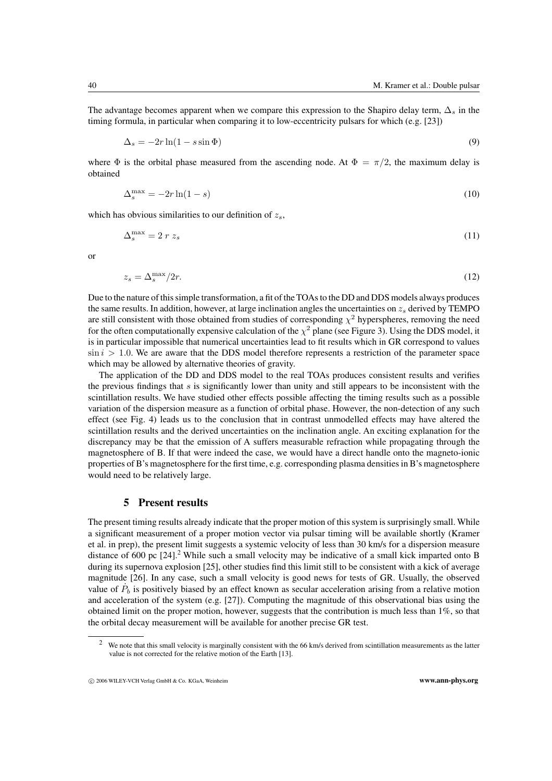The advantage becomes apparent when we compare this expression to the Shapiro delay term,  $\Delta_s$  in the timing formula, in particular when comparing it to low-eccentricity pulsars for which (e.g. [23])

$$
\Delta_s = -2r \ln(1 - s \sin \Phi) \tag{9}
$$

where  $\Phi$  is the orbital phase measured from the ascending node. At  $\Phi = \pi/2$ , the maximum delay is obtained

$$
\Delta_s^{\text{max}} = -2r \ln(1 - s) \tag{10}
$$

which has obvious similarities to our definition of  $z_s$ ,

$$
\Delta_s^{\text{max}} = 2 r z_s \tag{11}
$$

or

$$
z_s = \Delta_s^{\text{max}}/2r. \tag{12}
$$

Due to the nature of this simple transformation, a fit of the TOAs to the DD and DDS models always produces the same results. In addition, however, at large inclination angles the uncertainties on  $z_s$  derived by TEMPO are still consistent with those obtained from studies of corresponding  $\chi^2$  hyperspheres, removing the need for the often computationally expensive calculation of the  $\chi^2$  plane (see Figure 3). Using the DDS model, it is in particular impossible that numerical uncertainties lead to fit results which in GR correspond to values  $\sin i > 1.0$ . We are aware that the DDS model therefore represents a restriction of the parameter space which may be allowed by alternative theories of gravity.

The application of the DD and DDS model to the real TOAs produces consistent results and verifies the previous findings that  $s$  is significantly lower than unity and still appears to be inconsistent with the scintillation results. We have studied other effects possible affecting the timing results such as a possible variation of the dispersion measure as a function of orbital phase. However, the non-detection of any such effect (see Fig. 4) leads us to the conclusion that in contrast unmodelled effects may have altered the scintillation results and the derived uncertainties on the inclination angle. An exciting explanation for the discrepancy may be that the emission of A suffers measurable refraction while propagating through the magnetosphere of B. If that were indeed the case, we would have a direct handle onto the magneto-ionic properties of B's magnetosphere for the first time, e.g. corresponding plasma densities in B's magnetosphere would need to be relatively large.

## **5 Present results**

The present timing results already indicate that the proper motion of this system is surprisingly small. While a significant measurement of a proper motion vector via pulsar timing will be available shortly (Kramer et al. in prep), the present limit suggests a systemic velocity of less than 30 km/s for a dispersion measure distance of 600 pc  $[24]$ .<sup>2</sup> While such a small velocity may be indicative of a small kick imparted onto B during its supernova explosion [25], other studies find this limit still to be consistent with a kick of average magnitude [26]. In any case, such a small velocity is good news for tests of GR. Usually, the observed value of  $\dot{P}_b$  is positively biased by an effect known as secular acceleration arising from a relative motion and acceleration of the system (e.g. [27]). Computing the magnitude of this observational bias using the obtained limit on the proper motion, however, suggests that the contribution is much less than 1%, so that the orbital decay measurement will be available for another precise GR test.

<sup>&</sup>lt;sup>2</sup> We note that this small velocity is marginally consistent with the 66 km/s derived from scintillation measurements as the latter value is not corrected for the relative motion of the Earth [13].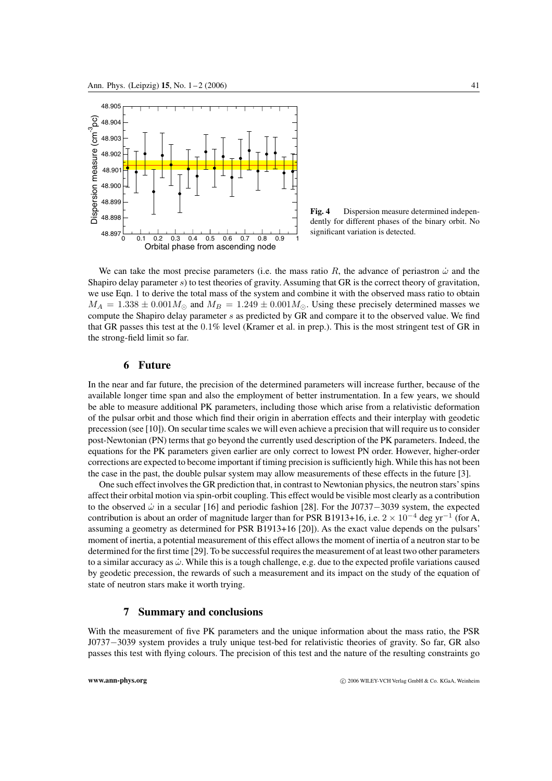

**Fig. 4** Dispersion measure determined independently for different phases of the binary orbit. No significant variation is detected.

We can take the most precise parameters (i.e. the mass ratio R, the advance of periastron  $\dot{\omega}$  and the Shapiro delay parameter s) to test theories of gravity. Assuming that GR is the correct theory of gravitation, we use Eqn. 1 to derive the total mass of the system and combine it with the observed mass ratio to obtain  $M_A = 1.338 \pm 0.001 M_{\odot}$  and  $M_B = 1.249 \pm 0.001 M_{\odot}$ . Using these precisely determined masses we compute the Shapiro delay parameter s as predicted by GR and compare it to the observed value. We find that GR passes this test at the 0.1% level (Kramer et al. in prep.). This is the most stringent test of GR in the strong-field limit so far.

## **6 Future**

In the near and far future, the precision of the determined parameters will increase further, because of the available longer time span and also the employment of better instrumentation. In a few years, we should be able to measure additional PK parameters, including those which arise from a relativistic deformation of the pulsar orbit and those which find their origin in aberration effects and their interplay with geodetic precession (see [10]). On secular time scales we will even achieve a precision that will require us to consider post-Newtonian (PN) terms that go beyond the currently used description of the PK parameters. Indeed, the equations for the PK parameters given earlier are only correct to lowest PN order. However, higher-order corrections are expected to become important if timing precision is sufficiently high. While this has not been the case in the past, the double pulsar system may allow measurements of these effects in the future [3].

One such effect involves the GR prediction that, in contrast to Newtonian physics, the neutron stars'spins affect their orbital motion via spin-orbit coupling. This effect would be visible most clearly as a contribution to the observed  $\dot{\omega}$  in a secular [16] and periodic fashion [28]. For the J0737−3039 system, the expected contribution is about an order of magnitude larger than for PSR B1913+16, i.e.  $2 \times 10^{-4}$  deg yr<sup>-1</sup> (for A, assuming a geometry as determined for PSR B1913+16 [20]). As the exact value depends on the pulsars' moment of inertia, a potential measurement of this effect allows the moment of inertia of a neutron star to be determined for the first time [29]. To be successful requires the measurement of at least two other parameters to a similar accuracy as  $\dot{\omega}$ . While this is a tough challenge, e.g. due to the expected profile variations caused by geodetic precession, the rewards of such a measurement and its impact on the study of the equation of state of neutron stars make it worth trying.

### **7 Summary and conclusions**

With the measurement of five PK parameters and the unique information about the mass ratio, the PSR J0737−3039 system provides a truly unique test-bed for relativistic theories of gravity. So far, GR also passes this test with flying colours. The precision of this test and the nature of the resulting constraints go